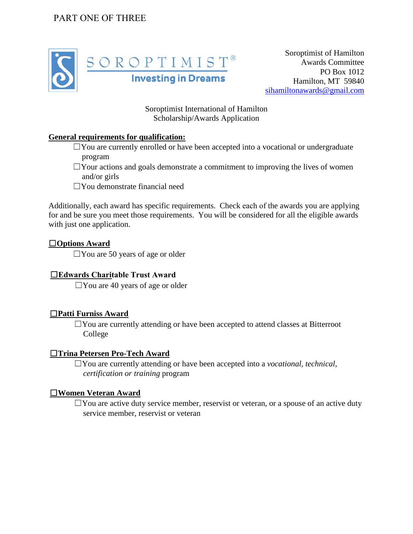### PART ONE OF THREE



Soroptimist of Hamilton Awards Committee PO Box 1012 Hamilton, MT 59840 [sihamiltonawards@gmail.com](mailto:sihamiltonawards@gmail.com)

Soroptimist International of Hamilton Scholarship/Awards Application

#### **General requirements for qualification:**

- $\Box$  You are currently enrolled or have been accepted into a vocational or undergraduate program
- $\Box$ Your actions and goals demonstrate a commitment to improving the lives of women and/or girls
- $\square$ You demonstrate financial need

Additionally, each award has specific requirements. Check each of the awards you are applying for and be sure you meet those requirements. You will be considered for all the eligible awards with just one application.

#### ☐**Options Award**

 $\Box$  You are 50 years of age or older

#### ☐**Edwards Charitable Trust Award**

 $\Box$  You are 40 years of age or older

#### ☐**Patti Furniss Award**

☐You are currently attending or have been accepted to attend classes at Bitterroot College

#### ☐**Trina Petersen Pro-Tech Award**

☐You are currently attending or have been accepted into a *vocational, technical, certification or training* program

#### ☐**Women Veteran Award**

 $\Box$  You are active duty service member, reservist or veteran, or a spouse of an active duty service member, reservist or veteran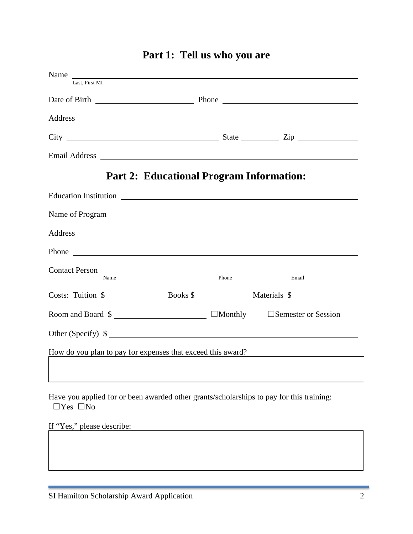| Name<br>Last. First MI                                                                                           |                                                 |                                                                                                                                                                                                                               |
|------------------------------------------------------------------------------------------------------------------|-------------------------------------------------|-------------------------------------------------------------------------------------------------------------------------------------------------------------------------------------------------------------------------------|
|                                                                                                                  |                                                 |                                                                                                                                                                                                                               |
|                                                                                                                  |                                                 |                                                                                                                                                                                                                               |
|                                                                                                                  |                                                 |                                                                                                                                                                                                                               |
|                                                                                                                  |                                                 | $City$ $2ip$                                                                                                                                                                                                                  |
|                                                                                                                  |                                                 |                                                                                                                                                                                                                               |
|                                                                                                                  | <b>Part 2: Educational Program Information:</b> |                                                                                                                                                                                                                               |
|                                                                                                                  |                                                 |                                                                                                                                                                                                                               |
|                                                                                                                  |                                                 |                                                                                                                                                                                                                               |
|                                                                                                                  |                                                 |                                                                                                                                                                                                                               |
|                                                                                                                  |                                                 | Phone has a series of the series of the series of the series of the series of the series of the series of the series of the series of the series of the series of the series of the series of the series of the series of the |
| Contact Person<br>Name Phone                                                                                     |                                                 |                                                                                                                                                                                                                               |
|                                                                                                                  |                                                 | Email                                                                                                                                                                                                                         |
|                                                                                                                  |                                                 |                                                                                                                                                                                                                               |
| Room and Board \$ _________________________ □Monthly □Semester or Session                                        |                                                 |                                                                                                                                                                                                                               |
|                                                                                                                  |                                                 | Other (Specify) \$                                                                                                                                                                                                            |
| How do you plan to pay for expenses that exceed this award?                                                      |                                                 | <u> 1980 - Jan Barbara Barbara, prima popular popular popular popular popular popular popular popular popular po</u>                                                                                                          |
|                                                                                                                  |                                                 |                                                                                                                                                                                                                               |
|                                                                                                                  |                                                 |                                                                                                                                                                                                                               |
| Have you applied for or been awarded other grants/scholarships to pay for this training:<br>$\Box$ Yes $\Box$ No |                                                 |                                                                                                                                                                                                                               |
| If "Yes," please describe:                                                                                       |                                                 |                                                                                                                                                                                                                               |

# **Part 1: Tell us who you are**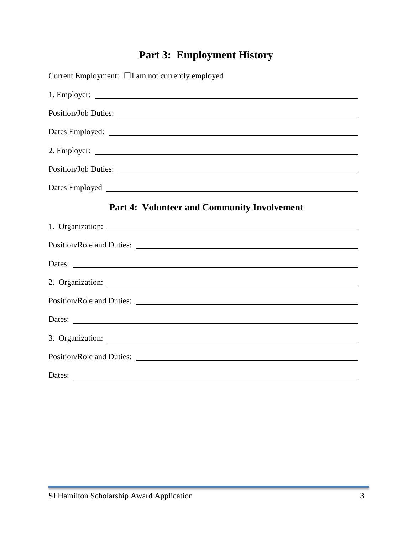# **Part 3: Employment History**

| Current Employment: $\Box I$ am not currently employed |  |  |  |  |
|--------------------------------------------------------|--|--|--|--|
|                                                        |  |  |  |  |
|                                                        |  |  |  |  |
|                                                        |  |  |  |  |
|                                                        |  |  |  |  |
|                                                        |  |  |  |  |
|                                                        |  |  |  |  |
| <b>Part 4: Volunteer and Community Involvement</b>     |  |  |  |  |
|                                                        |  |  |  |  |
|                                                        |  |  |  |  |
|                                                        |  |  |  |  |
|                                                        |  |  |  |  |
|                                                        |  |  |  |  |
|                                                        |  |  |  |  |
|                                                        |  |  |  |  |
|                                                        |  |  |  |  |
| Dates:                                                 |  |  |  |  |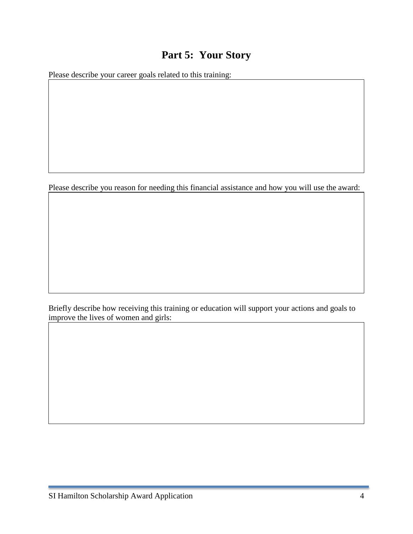### **Part 5: Your Story**

Please describe your career goals related to this training:

Please describe you reason for needing this financial assistance and how you will use the award:

Briefly describe how receiving this training or education will support your actions and goals to improve the lives of women and girls: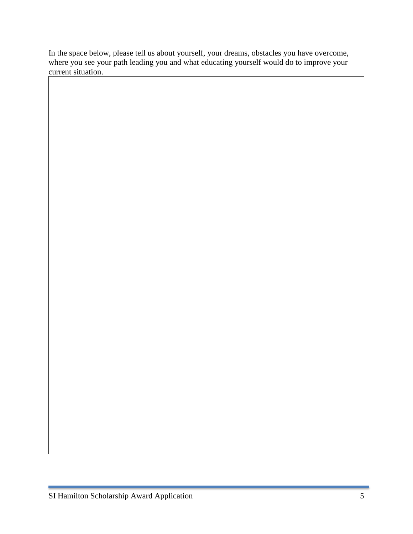In the space below, please tell us about yourself, your dreams, obstacles you have overcome, where you see your path leading you and what educating yourself would do to improve your current situation.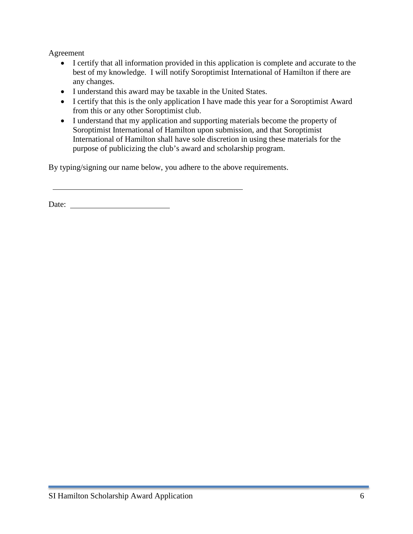Agreement

- I certify that all information provided in this application is complete and accurate to the best of my knowledge. I will notify Soroptimist International of Hamilton if there are any changes.
- I understand this award may be taxable in the United States.
- I certify that this is the only application I have made this year for a Soroptimist Award from this or any other Soroptimist club.
- I understand that my application and supporting materials become the property of Soroptimist International of Hamilton upon submission, and that Soroptimist International of Hamilton shall have sole discretion in using these materials for the purpose of publicizing the club's award and scholarship program.

By typing/signing our name below, you adhere to the above requirements.

Date: